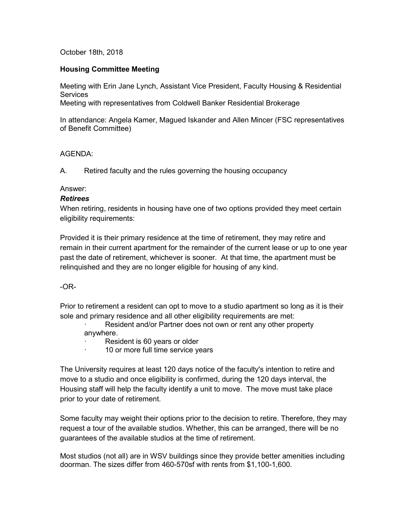### October 18th, 2018

### **Housing Committee Meeting**

Meeting with Erin Jane Lynch, Assistant Vice President, Faculty Housing & Residential **Services** 

Meeting with representatives from Coldwell Banker Residential Brokerage

In attendance: Angela Kamer, Magued Iskander and Allen Mincer (FSC representatives of Benefit Committee)

### AGENDA:

A. Retired faculty and the rules governing the housing occupancy

### Answer:

### *Retirees*

When retiring, residents in housing have one of two options provided they meet certain eligibility requirements:

Provided it is their primary residence at the time of retirement, they may retire and remain in their current apartment for the remainder of the current lease or up to one year past the date of retirement, whichever is sooner. At that time, the apartment must be relinquished and they are no longer eligible for housing of any kind.

## -OR-

Prior to retirement a resident can opt to move to a studio apartment so long as it is their sole and primary residence and all other eligibility requirements are met:

Resident and/or Partner does not own or rent any other property anywhere.

- Resident is 60 years or older
- 10 or more full time service years

The University requires at least 120 days notice of the faculty's intention to retire and move to a studio and once eligibility is confirmed, during the 120 days interval, the Housing staff will help the faculty identify a unit to move. The move must take place prior to your date of retirement.

Some faculty may weight their options prior to the decision to retire. Therefore, they may request a tour of the available studios. Whether, this can be arranged, there will be no guarantees of the available studios at the time of retirement.

Most studios (not all) are in WSV buildings since they provide better amenities including doorman. The sizes differ from 460-570sf with rents from \$1,100-1,600.